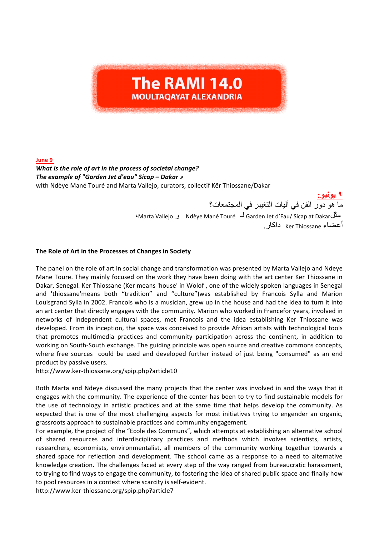## **The RAMI 14.0 MOULTAOAYAT ALEXANDRIA**

**June 9** 

## *What is the role of art in the process of societal change? The example of "Garden Jet d'eau" Sicap – Dakar »* with Ndèye Mané Touré and Marta Vallejo, curators, collectif Kër Thiossane/Dakar

**٩ یونیو:** ما ھو دور الفن في آلیات التغییر في المجتمعات؟ ،Marta Vallejo و Ndèye Mané Touré لـ Garden Jet d'Eau/ Sicap at Dakarمثل أعضاء Thiossane Ker داكار. -

## The Role of Art in the Processes of Changes in Society

The panel on the role of art in social change and transformation was presented by Marta Vallejo and Ndeye Mane Toure. They mainly focused on the work they have been doing with the art center Ker Thiossane in Dakar, Senegal. Ker Thiossane (Ker means 'house' in Wolof, one of the widely spoken languages in Senegal and 'thiossane'means both "tradition" and "culture")was established by Francois Sylla and Marion Louisgrand Sylla in 2002. Francois who is a musician, grew up in the house and had the idea to turn it into an art center that directly engages with the community. Marion who worked in Francefor years, involved in networks of independent cultural spaces, met Francois and the idea establishing Ker Thiossane was developed. From its inception, the space was conceived to provide African artists with technological tools that promotes multimedia practices and community participation across the continent, in addition to working on South-South exchange. The guiding principle was open source and creative commons concepts, where free sources could be used and developed further instead of just being "consumed" as an end product by passive users.

http://www.ker-thiossane.org/spip.php?article10

Both Marta and Ndeye discussed the many projects that the center was involved in and the ways that it engages with the community. The experience of the center has been to try to find sustainable models for the use of technology in artistic practices and at the same time that helps develop the community. As expected that is one of the most challenging aspects for most initiatives trying to engender an organic, grassroots approach to sustainable practices and community engagement.

For example, the project of the "Ecole des Communs", which attempts at establishing an alternative school of shared resources and interdisciplinary practices and methods which involves scientists, artists, researchers, economists, environmentalist, all members of the community working together towards a shared space for reflection and development. The school came as a response to a need to alternative knowledge creation. The challenges faced at every step of the way ranged from bureaucratic harassment, to trying to find ways to engage the community, to fostering the idea of shared public space and finally how to pool resources in a context where scarcity is self-evident.

http://www.ker-thiossane.org/spip.php?article7